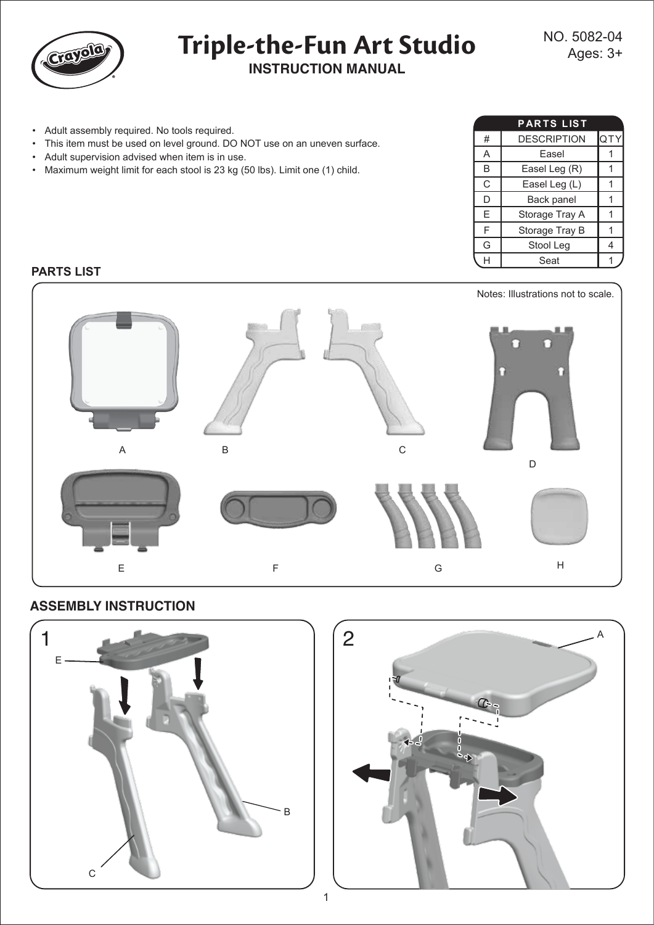

# **INSTRUCTION MANUAL Triple-the-Fun Art Studio**

- Adult assembly required. No tools required.
- This item must be used on level ground. DO NOT use on an uneven surface.
- Adult supervision advised when item is in use.
- Maximum weight limit for each stool is 23 kg (50 lbs). Limit one (1) child.

|   | <b>PARTS LIST</b>  |     |
|---|--------------------|-----|
| # | <b>DESCRIPTION</b> | QTY |
| A | Fasel              |     |
| B | Easel Leg (R)      |     |
| C | Easel Leg (L)      |     |
| D | Back panel         |     |
| E | Storage Tray A     |     |
| F | Storage Tray B     |     |
| G | Stool Leg          | 4   |
|   | Seat               |     |

## **PARTS LIST**



# **ASSEMBLY INSTRUCTION**



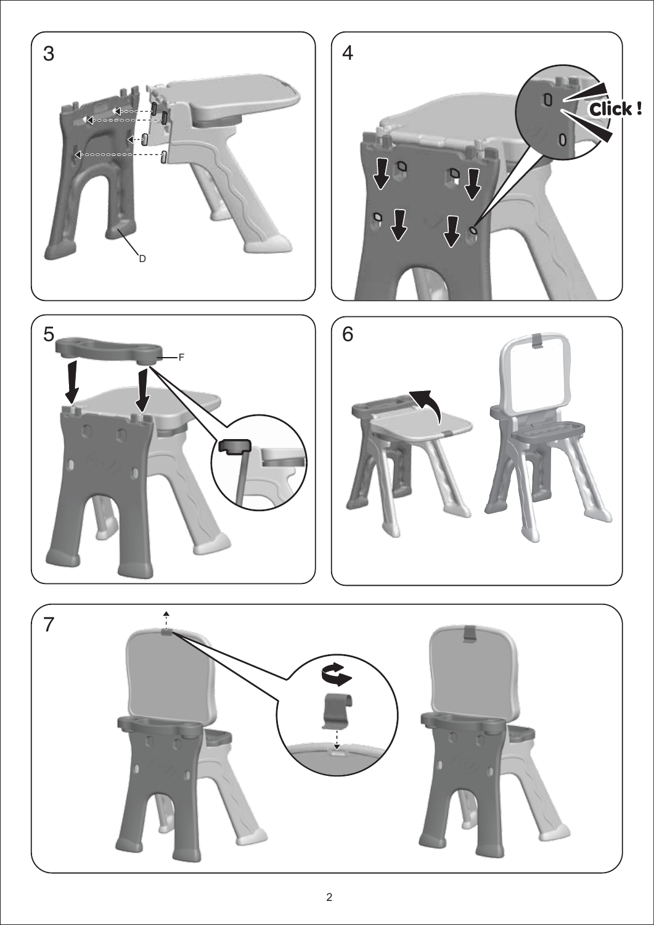